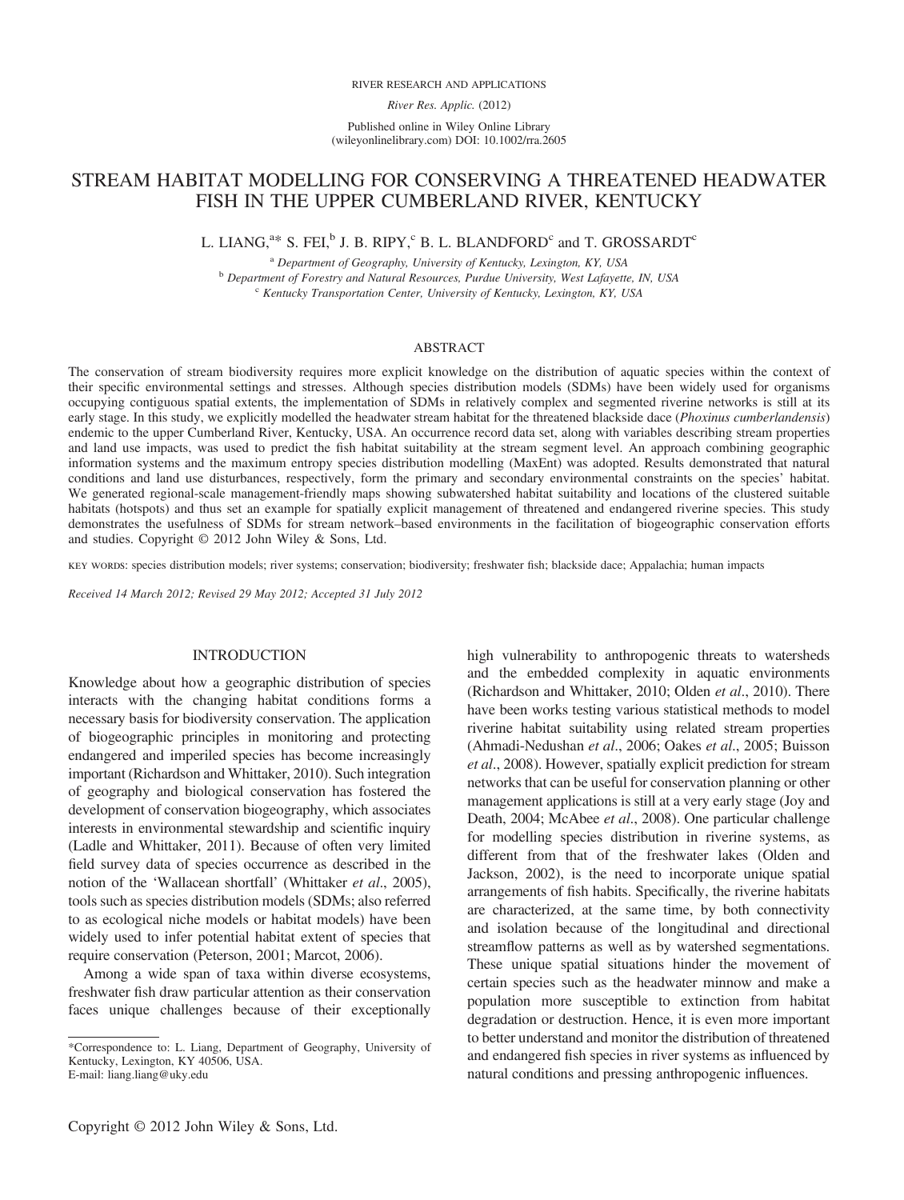#### RIVER RESEARCH AND APPLICATIONS

River Res. Applic. (2012)

Published online in Wiley Online Library (wileyonlinelibrary.com) DOI: 10.1002/rra.2605

# STREAM HABITAT MODELLING FOR CONSERVING A THREATENED HEADWATER FISH IN THE UPPER CUMBERLAND RIVER, KENTUCKY

# L. LIANG, $a^*$  S. FEI, $^b$  J. B. RIPY, $^c$  B. L. BLANDFORD $^c$  and T. GROSSARDT $^c$

<sup>a</sup> Department of Geography, University of Kentucky, Lexington, KY, USA <sup>b</sup> Department of Forestry and Natural Resources, Purdue University, West Lafayette, IN, USA  $c$  Kentucky Transportation Center, University of Kentucky, Lexington, KY, USA

#### ABSTRACT

The conservation of stream biodiversity requires more explicit knowledge on the distribution of aquatic species within the context of their specific environmental settings and stresses. Although species distribution models (SDMs) have been widely used for organisms occupying contiguous spatial extents, the implementation of SDMs in relatively complex and segmented riverine networks is still at its early stage. In this study, we explicitly modelled the headwater stream habitat for the threatened blackside dace (Phoxinus cumberlandensis) endemic to the upper Cumberland River, Kentucky, USA. An occurrence record data set, along with variables describing stream properties and land use impacts, was used to predict the fish habitat suitability at the stream segment level. An approach combining geographic information systems and the maximum entropy species distribution modelling (MaxEnt) was adopted. Results demonstrated that natural conditions and land use disturbances, respectively, form the primary and secondary environmental constraints on the species' habitat. We generated regional-scale management-friendly maps showing subwatershed habitat suitability and locations of the clustered suitable habitats (hotspots) and thus set an example for spatially explicit management of threatened and endangered riverine species. This study demonstrates the usefulness of SDMs for stream network–based environments in the facilitation of biogeographic conservation efforts and studies. Copyright © 2012 John Wiley & Sons, Ltd.

key words: species distribution models; river systems; conservation; biodiversity; freshwater fish; blackside dace; Appalachia; human impacts

Received 14 March 2012; Revised 29 May 2012; Accepted 31 July 2012

## INTRODUCTION

Knowledge about how a geographic distribution of species interacts with the changing habitat conditions forms a necessary basis for biodiversity conservation. The application of biogeographic principles in monitoring and protecting endangered and imperiled species has become increasingly important (Richardson and Whittaker, 2010). Such integration of geography and biological conservation has fostered the development of conservation biogeography, which associates interests in environmental stewardship and scientific inquiry (Ladle and Whittaker, 2011). Because of often very limited field survey data of species occurrence as described in the notion of the 'Wallacean shortfall' (Whittaker et al., 2005), tools such as species distribution models (SDMs; also referred to as ecological niche models or habitat models) have been widely used to infer potential habitat extent of species that require conservation (Peterson, 2001; Marcot, 2006).

Among a wide span of taxa within diverse ecosystems, freshwater fish draw particular attention as their conservation faces unique challenges because of their exceptionally have been works testing various statistical methods to model riverine habitat suitability using related stream properties (Ahmadi-Nedushan et al., 2006; Oakes et al., 2005; Buisson et al., 2008). However, spatially explicit prediction for stream networks that can be useful for conservation planning or other management applications is still at a very early stage (Joy and Death, 2004; McAbee et al., 2008). One particular challenge for modelling species distribution in riverine systems, as different from that of the freshwater lakes (Olden and Jackson, 2002), is the need to incorporate unique spatial arrangements of fish habits. Specifically, the riverine habitats are characterized, at the same time, by both connectivity and isolation because of the longitudinal and directional streamflow patterns as well as by watershed segmentations. These unique spatial situations hinder the movement of certain species such as the headwater minnow and make a population more susceptible to extinction from habitat degradation or destruction. Hence, it is even more important to better understand and monitor the distribution of threatened and endangered fish species in river systems as influenced by natural conditions and pressing anthropogenic influences.

high vulnerability to anthropogenic threats to watersheds and the embedded complexity in aquatic environments (Richardson and Whittaker, 2010; Olden et al., 2010). There

<sup>\*</sup>Correspondence to: L. Liang, Department of Geography, University of Kentucky, Lexington, KY 40506, USA. E-mail: liang.liang@uky.edu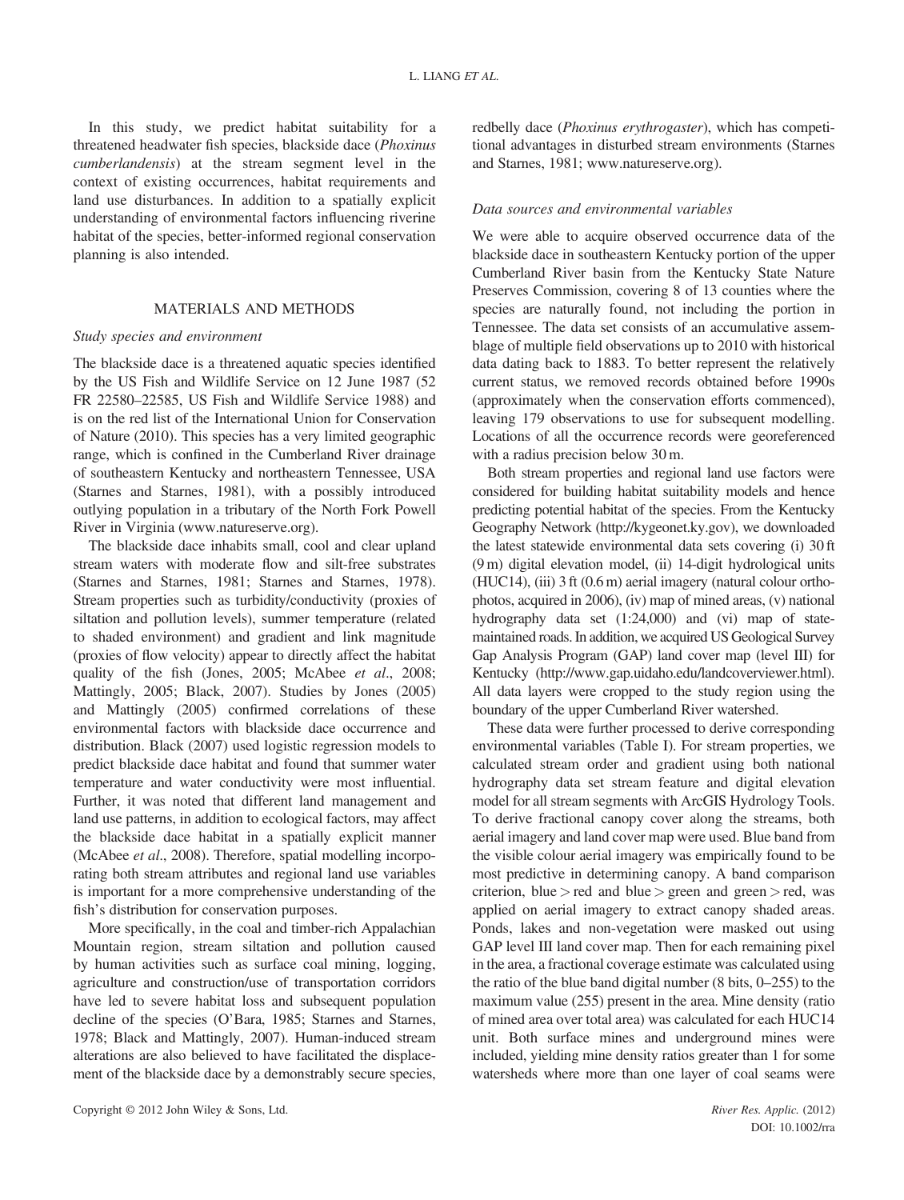In this study, we predict habitat suitability for a threatened headwater fish species, blackside dace (Phoxinus cumberlandensis) at the stream segment level in the context of existing occurrences, habitat requirements and land use disturbances. In addition to a spatially explicit understanding of environmental factors influencing riverine habitat of the species, better-informed regional conservation planning is also intended.

## MATERIALS AND METHODS

#### Study species and environment

The blackside dace is a threatened aquatic species identified by the US Fish and Wildlife Service on 12 June 1987 (52 FR 22580–22585, US Fish and Wildlife Service 1988) and is on the red list of the International Union for Conservation of Nature (2010). This species has a very limited geographic range, which is confined in the Cumberland River drainage of southeastern Kentucky and northeastern Tennessee, USA (Starnes and Starnes, 1981), with a possibly introduced outlying population in a tributary of the North Fork Powell River in Virginia ([www.natureserve.org](http://www.natureserve.org)).

The blackside dace inhabits small, cool and clear upland stream waters with moderate flow and silt-free substrates (Starnes and Starnes, 1981; Starnes and Starnes, 1978). Stream properties such as turbidity/conductivity (proxies of siltation and pollution levels), summer temperature (related to shaded environment) and gradient and link magnitude (proxies of flow velocity) appear to directly affect the habitat quality of the fish (Jones, 2005; McAbee et al., 2008; Mattingly, 2005; Black, 2007). Studies by Jones (2005) and Mattingly (2005) confirmed correlations of these environmental factors with blackside dace occurrence and distribution. Black (2007) used logistic regression models to predict blackside dace habitat and found that summer water temperature and water conductivity were most influential. Further, it was noted that different land management and land use patterns, in addition to ecological factors, may affect the blackside dace habitat in a spatially explicit manner (McAbee et al., 2008). Therefore, spatial modelling incorporating both stream attributes and regional land use variables is important for a more comprehensive understanding of the fish's distribution for conservation purposes.

More specifically, in the coal and timber-rich Appalachian Mountain region, stream siltation and pollution caused by human activities such as surface coal mining, logging, agriculture and construction/use of transportation corridors have led to severe habitat loss and subsequent population decline of the species (O'Bara, 1985; Starnes and Starnes, 1978; Black and Mattingly, 2007). Human-induced stream alterations are also believed to have facilitated the displacement of the blackside dace by a demonstrably secure species, redbelly dace (Phoxinus erythrogaster), which has competitional advantages in disturbed stream environments (Starnes and Starnes, 1981; [www.natureserve.org](http://www.natureserve.org)).

### Data sources and environmental variables

We were able to acquire observed occurrence data of the blackside dace in southeastern Kentucky portion of the upper Cumberland River basin from the Kentucky State Nature Preserves Commission, covering 8 of 13 counties where the species are naturally found, not including the portion in Tennessee. The data set consists of an accumulative assemblage of multiple field observations up to 2010 with historical data dating back to 1883. To better represent the relatively current status, we removed records obtained before 1990s (approximately when the conservation efforts commenced), leaving 179 observations to use for subsequent modelling. Locations of all the occurrence records were georeferenced with a radius precision below 30 m.

Both stream properties and regional land use factors were considered for building habitat suitability models and hence predicting potential habitat of the species. From the Kentucky Geography Network (<http://kygeonet.ky.gov>), we downloaded the latest statewide environmental data sets covering (i) 30 ft (9 m) digital elevation model, (ii) 14-digit hydrological units (HUC14), (iii) 3 ft (0.6 m) aerial imagery (natural colour orthophotos, acquired in 2006), (iv) map of mined areas, (v) national hydrography data set (1:24,000) and (vi) map of statemaintained roads. In addition, we acquired US Geological Survey Gap Analysis Program (GAP) land cover map (level III) for Kentucky [\(http://www.gap.uidaho.edu/landcoverviewer.html\)](http://www.gap.uidaho.edu/landcoverviewer.html). All data layers were cropped to the study region using the boundary of the upper Cumberland River watershed.

These data were further processed to derive corresponding environmental variables (Table I). For stream properties, we calculated stream order and gradient using both national hydrography data set stream feature and digital elevation model for all stream segments with ArcGIS Hydrology Tools. To derive fractional canopy cover along the streams, both aerial imagery and land cover map were used. Blue band from the visible colour aerial imagery was empirically found to be most predictive in determining canopy. A band comparison criterion, blue  $>$  red and blue  $>$  green and green  $>$  red, was applied on aerial imagery to extract canopy shaded areas. Ponds, lakes and non-vegetation were masked out using GAP level III land cover map. Then for each remaining pixel in the area, a fractional coverage estimate was calculated using the ratio of the blue band digital number (8 bits, 0–255) to the maximum value (255) present in the area. Mine density (ratio of mined area over total area) was calculated for each HUC14 unit. Both surface mines and underground mines were included, yielding mine density ratios greater than 1 for some watersheds where more than one layer of coal seams were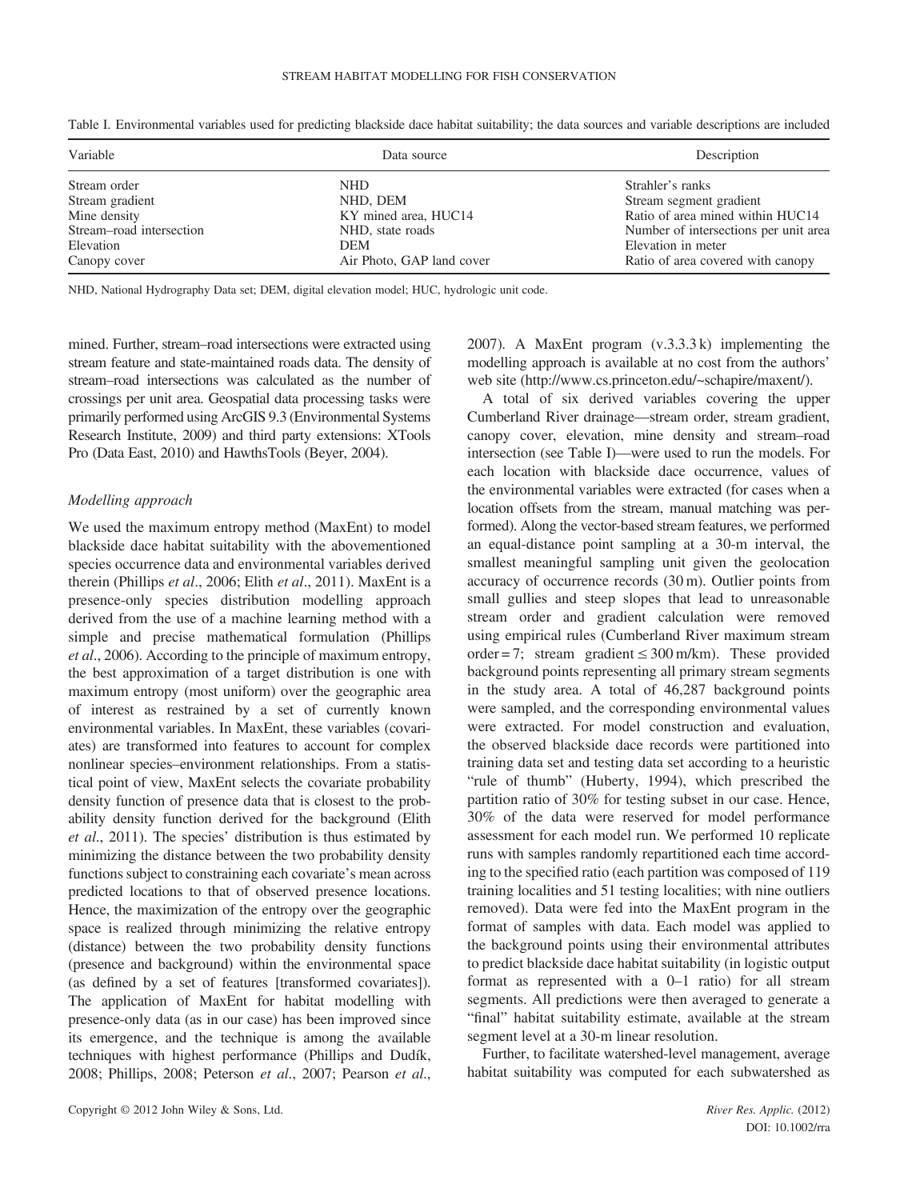| Variable                 | Data source               | Description                           |
|--------------------------|---------------------------|---------------------------------------|
| Stream order             | <b>NHD</b>                | Strahler's ranks                      |
| Stream gradient          | NHD, DEM                  | Stream segment gradient               |
| Mine density             | KY mined area, HUC14      | Ratio of area mined within HUC14      |
| Stream-road intersection | NHD, state roads          | Number of intersections per unit area |
| Elevation                | <b>DEM</b>                | Elevation in meter                    |
| Canopy cover             | Air Photo, GAP land cover | Ratio of area covered with canopy     |

Table I. Environmental variables used for predicting blackside dace habitat suitability; the data sources and variable descriptions are included

NHD, National Hydrography Data set; DEM, digital elevation model; HUC, hydrologic unit code.

mined. Further, stream–road intersections were extracted using stream feature and state-maintained roads data. The density of stream–road intersections was calculated as the number of crossings per unit area. Geospatial data processing tasks were primarily performed using ArcGIS 9.3 (Environmental Systems Research Institute, 2009) and third party extensions: XTools Pro (Data East, 2010) and HawthsTools (Beyer, 2004).

#### Modelling approach

We used the maximum entropy method (MaxEnt) to model blackside dace habitat suitability with the abovementioned species occurrence data and environmental variables derived therein (Phillips et al., 2006; Elith et al., 2011). MaxEnt is a presence-only species distribution modelling approach derived from the use of a machine learning method with a simple and precise mathematical formulation (Phillips et al., 2006). According to the principle of maximum entropy, the best approximation of a target distribution is one with maximum entropy (most uniform) over the geographic area of interest as restrained by a set of currently known environmental variables. In MaxEnt, these variables (covariates) are transformed into features to account for complex nonlinear species–environment relationships. From a statistical point of view, MaxEnt selects the covariate probability density function of presence data that is closest to the probability density function derived for the background (Elith et al., 2011). The species' distribution is thus estimated by minimizing the distance between the two probability density functions subject to constraining each covariate's mean across predicted locations to that of observed presence locations. Hence, the maximization of the entropy over the geographic space is realized through minimizing the relative entropy (distance) between the two probability density functions (presence and background) within the environmental space (as defined by a set of features [transformed covariates]). The application of MaxEnt for habitat modelling with presence-only data (as in our case) has been improved since its emergence, and the technique is among the available techniques with highest performance (Phillips and Dudík, 2008; Phillips, 2008; Peterson et al., 2007; Pearson et al., 2007). A MaxEnt program (v.3.3.3 k) implementing the modelling approach is available at no cost from the authors' web site [\(http://www.cs.princeton.edu/~schapire/maxent/](http://www.cs.princeton.edu/~schapire/maxent/)).

A total of six derived variables covering the upper Cumberland River drainage—stream order, stream gradient, canopy cover, elevation, mine density and stream–road intersection (see Table I)—were used to run the models. For each location with blackside dace occurrence, values of the environmental variables were extracted (for cases when a location offsets from the stream, manual matching was performed). Along the vector-based stream features, we performed an equal-distance point sampling at a 30-m interval, the smallest meaningful sampling unit given the geolocation accuracy of occurrence records (30 m). Outlier points from small gullies and steep slopes that lead to unreasonable stream order and gradient calculation were removed using empirical rules (Cumberland River maximum stream order = 7; stream gradient  $\leq$  300 m/km). These provided background points representing all primary stream segments in the study area. A total of 46,287 background points were sampled, and the corresponding environmental values were extracted. For model construction and evaluation, the observed blackside dace records were partitioned into training data set and testing data set according to a heuristic "rule of thumb" (Huberty, 1994), which prescribed the partition ratio of 30% for testing subset in our case. Hence, 30% of the data were reserved for model performance assessment for each model run. We performed 10 replicate runs with samples randomly repartitioned each time according to the specified ratio (each partition was composed of 119 training localities and 51 testing localities; with nine outliers removed). Data were fed into the MaxEnt program in the format of samples with data. Each model was applied to the background points using their environmental attributes to predict blackside dace habitat suitability (in logistic output format as represented with a 0–1 ratio) for all stream segments. All predictions were then averaged to generate a "final" habitat suitability estimate, available at the stream segment level at a 30-m linear resolution.

Further, to facilitate watershed-level management, average habitat suitability was computed for each subwatershed as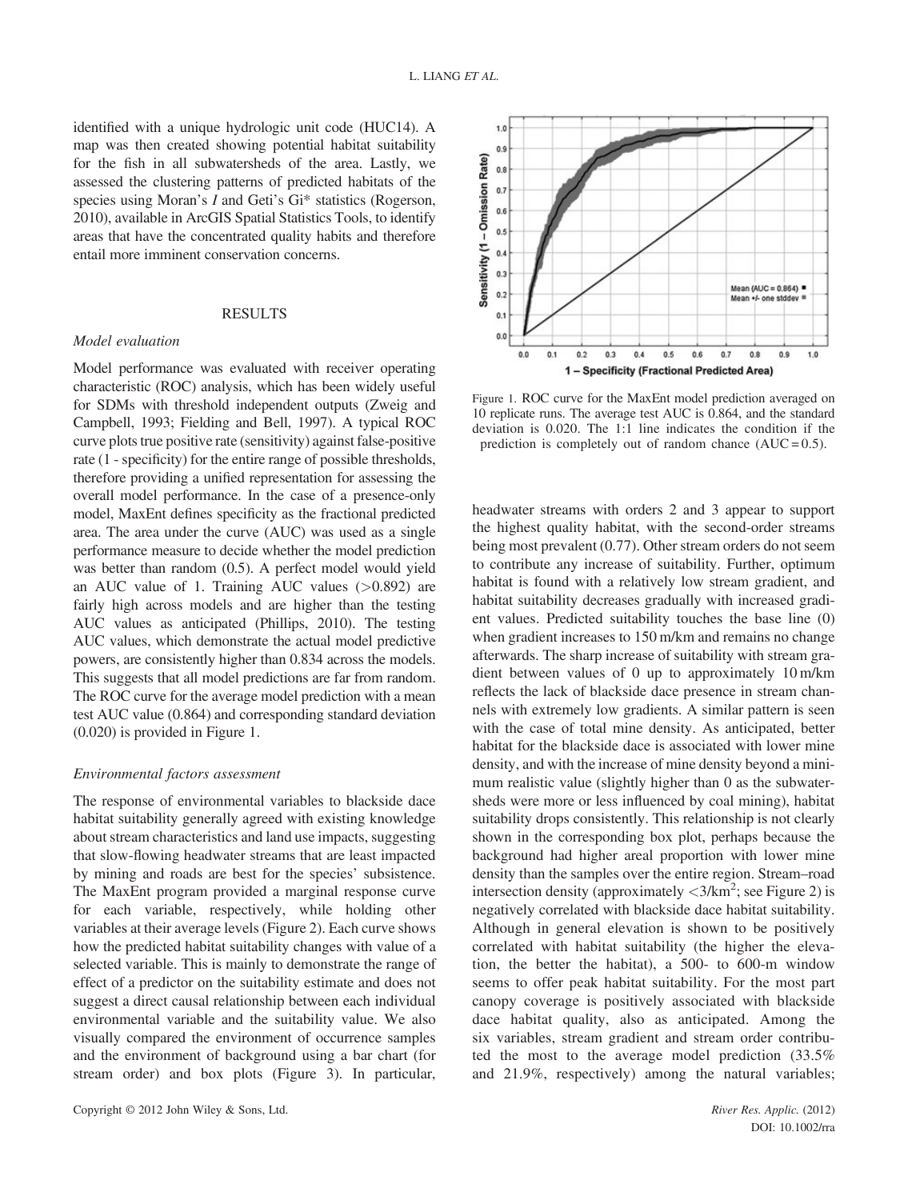identified with a unique hydrologic unit code (HUC14). A map was then created showing potential habitat suitability for the fish in all subwatersheds of the area. Lastly, we assessed the clustering patterns of predicted habitats of the species using Moran's *I* and Geti's Gi\* statistics (Rogerson, 2010), available in ArcGIS Spatial Statistics Tools, to identify areas that have the concentrated quality habits and therefore entail more imminent conservation concerns.

# RESULTS

### Model evaluation

Model performance was evaluated with receiver operating characteristic (ROC) analysis, which has been widely useful for SDMs with threshold independent outputs (Zweig and Campbell, 1993; Fielding and Bell, 1997). A typical ROC curve plots true positive rate (sensitivity) against false-positive rate (1 - specificity) for the entire range of possible thresholds, therefore providing a unified representation for assessing the overall model performance. In the case of a presence-only model, MaxEnt defines specificity as the fractional predicted area. The area under the curve (AUC) was used as a single performance measure to decide whether the model prediction was better than random (0.5). A perfect model would yield an AUC value of 1. Training AUC values  $(>0.892)$  are fairly high across models and are higher than the testing AUC values as anticipated (Phillips, 2010). The testing AUC values, which demonstrate the actual model predictive powers, are consistently higher than 0.834 across the models. This suggests that all model predictions are far from random. The ROC curve for the average model prediction with a mean test AUC value (0.864) and corresponding standard deviation (0.020) is provided in Figure 1.

### Environmental factors assessment

The response of environmental variables to blackside dace habitat suitability generally agreed with existing knowledge about stream characteristics and land use impacts, suggesting that slow-flowing headwater streams that are least impacted by mining and roads are best for the species' subsistence. The MaxEnt program provided a marginal response curve for each variable, respectively, while holding other variables at their average levels (Figure 2). Each curve shows how the predicted habitat suitability changes with value of a selected variable. This is mainly to demonstrate the range of effect of a predictor on the suitability estimate and does not suggest a direct causal relationship between each individual environmental variable and the suitability value. We also visually compared the environment of occurrence samples and the environment of background using a bar chart (for stream order) and box plots (Figure 3). In particular,



Figure 1. ROC curve for the MaxEnt model prediction averaged on 10 replicate runs. The average test AUC is 0.864, and the standard deviation is 0.020. The 1:1 line indicates the condition if the prediction is completely out of random chance  $(AUC = 0.5)$ .

headwater streams with orders 2 and 3 appear to support the highest quality habitat, with the second-order streams being most prevalent (0.77). Other stream orders do not seem to contribute any increase of suitability. Further, optimum habitat is found with a relatively low stream gradient, and habitat suitability decreases gradually with increased gradient values. Predicted suitability touches the base line (0) when gradient increases to 150 m/km and remains no change afterwards. The sharp increase of suitability with stream gradient between values of 0 up to approximately 10 m/km reflects the lack of blackside dace presence in stream channels with extremely low gradients. A similar pattern is seen with the case of total mine density. As anticipated, better habitat for the blackside dace is associated with lower mine density, and with the increase of mine density beyond a minimum realistic value (slightly higher than 0 as the subwatersheds were more or less influenced by coal mining), habitat suitability drops consistently. This relationship is not clearly shown in the corresponding box plot, perhaps because the background had higher areal proportion with lower mine density than the samples over the entire region. Stream–road intersection density (approximately  $\langle 3/km^2 \rangle$ ; see Figure 2) is negatively correlated with blackside dace habitat suitability. Although in general elevation is shown to be positively correlated with habitat suitability (the higher the elevation, the better the habitat), a 500- to 600-m window seems to offer peak habitat suitability. For the most part canopy coverage is positively associated with blackside dace habitat quality, also as anticipated. Among the six variables, stream gradient and stream order contributed the most to the average model prediction (33.5% and 21.9%, respectively) among the natural variables;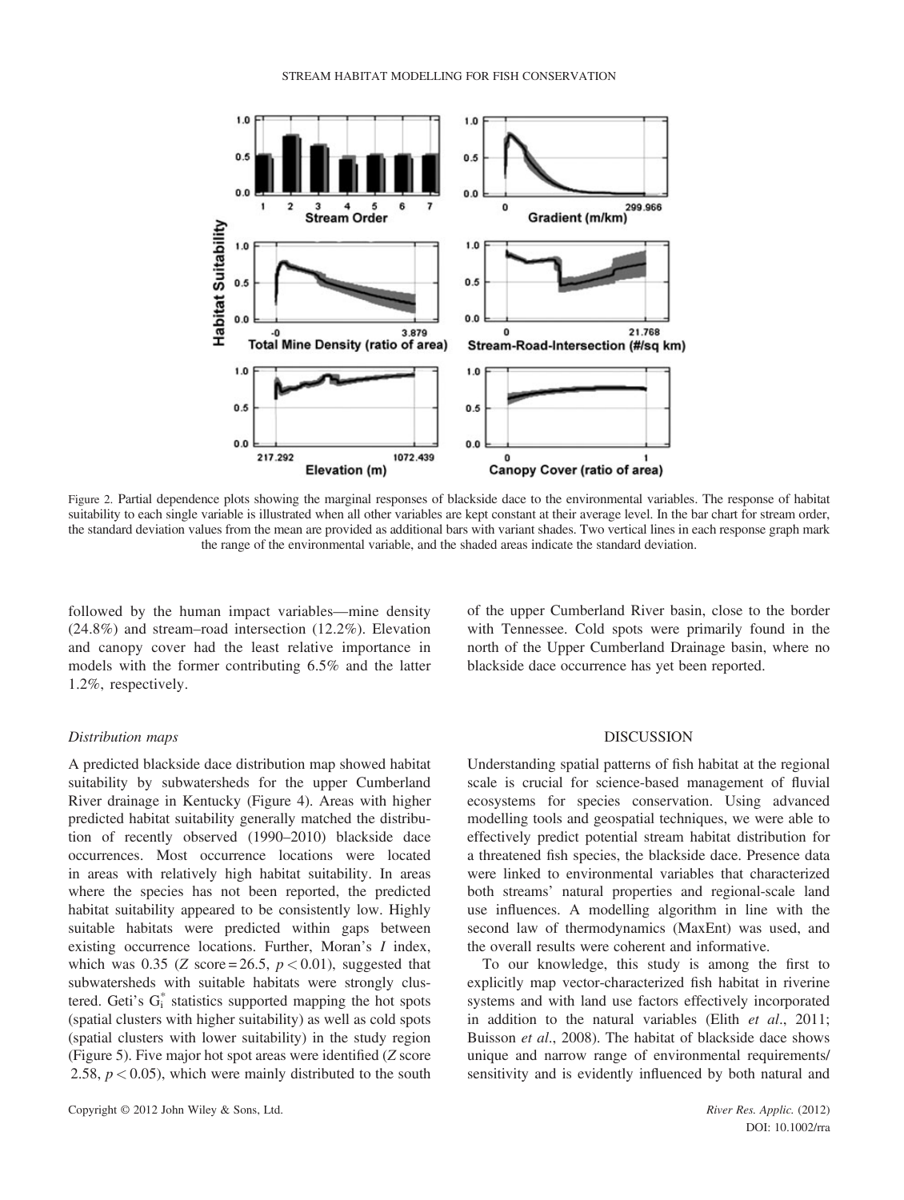

Figure 2. Partial dependence plots showing the marginal responses of blackside dace to the environmental variables. The response of habitat suitability to each single variable is illustrated when all other variables are kept constant at their average level. In the bar chart for stream order, the standard deviation values from the mean are provided as additional bars with variant shades. Two vertical lines in each response graph mark the range of the environmental variable, and the shaded areas indicate the standard deviation.

followed by the human impact variables—mine density (24.8%) and stream–road intersection (12.2%). Elevation and canopy cover had the least relative importance in models with the former contributing 6.5% and the latter 1.2%, respectively.

of the upper Cumberland River basin, close to the border with Tennessee. Cold spots were primarily found in the north of the Upper Cumberland Drainage basin, where no blackside dace occurrence has yet been reported.

### Distribution maps

A predicted blackside dace distribution map showed habitat suitability by subwatersheds for the upper Cumberland River drainage in Kentucky (Figure 4). Areas with higher predicted habitat suitability generally matched the distribution of recently observed (1990–2010) blackside dace occurrences. Most occurrence locations were located in areas with relatively high habitat suitability. In areas where the species has not been reported, the predicted habitat suitability appeared to be consistently low. Highly suitable habitats were predicted within gaps between existing occurrence locations. Further, Moran's I index, which was 0.35 (Z score = 26.5,  $p < 0.01$ ), suggested that subwatersheds with suitable habitats were strongly clustered. Geti's  $G_i^*$  statistics supported mapping the hot spots (spatial clusters with higher suitability) as well as cold spots (spatial clusters with lower suitability) in the study region (Figure 5). Five major hot spot areas were identified (Z score 2.58,  $p < 0.05$ ), which were mainly distributed to the south

### DISCUSSION

Understanding spatial patterns of fish habitat at the regional scale is crucial for science-based management of fluvial ecosystems for species conservation. Using advanced modelling tools and geospatial techniques, we were able to effectively predict potential stream habitat distribution for a threatened fish species, the blackside dace. Presence data were linked to environmental variables that characterized both streams' natural properties and regional-scale land use influences. A modelling algorithm in line with the second law of thermodynamics (MaxEnt) was used, and the overall results were coherent and informative.

To our knowledge, this study is among the first to explicitly map vector-characterized fish habitat in riverine systems and with land use factors effectively incorporated in addition to the natural variables (Elith et al., 2011; Buisson et al., 2008). The habitat of blackside dace shows unique and narrow range of environmental requirements/ sensitivity and is evidently influenced by both natural and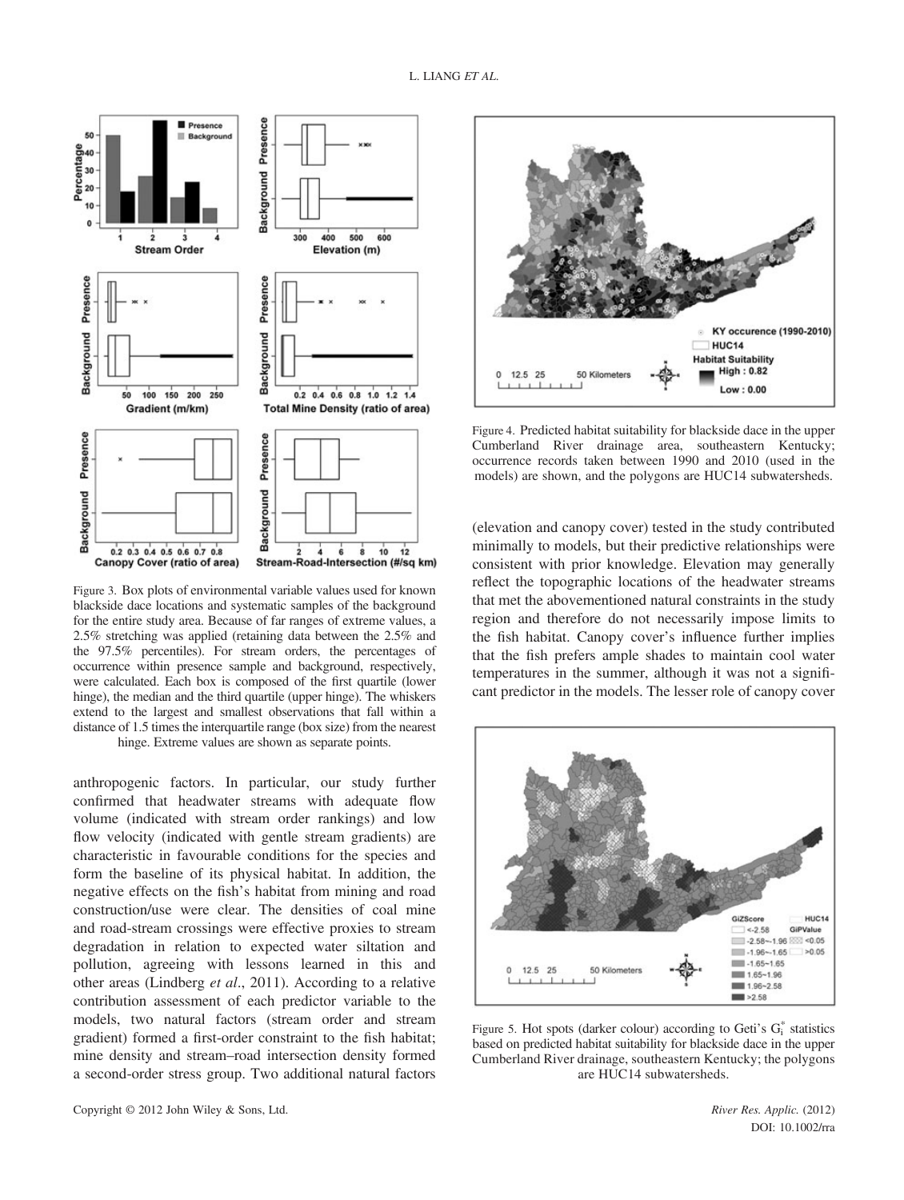

Figure 3. Box plots of environmental variable values used for known blackside dace locations and systematic samples of the background for the entire study area. Because of far ranges of extreme values, a 2.5% stretching was applied (retaining data between the 2.5% and the 97.5% percentiles). For stream orders, the percentages of occurrence within presence sample and background, respectively, were calculated. Each box is composed of the first quartile (lower hinge), the median and the third quartile (upper hinge). The whiskers extend to the largest and smallest observations that fall within a distance of 1.5 times the interquartile range (box size) from the nearest hinge. Extreme values are shown as separate points.

anthropogenic factors. In particular, our study further confirmed that headwater streams with adequate flow volume (indicated with stream order rankings) and low flow velocity (indicated with gentle stream gradients) are characteristic in favourable conditions for the species and form the baseline of its physical habitat. In addition, the negative effects on the fish's habitat from mining and road construction/use were clear. The densities of coal mine and road-stream crossings were effective proxies to stream degradation in relation to expected water siltation and pollution, agreeing with lessons learned in this and other areas (Lindberg et al., 2011). According to a relative contribution assessment of each predictor variable to the models, two natural factors (stream order and stream gradient) formed a first-order constraint to the fish habitat; mine density and stream–road intersection density formed a second-order stress group. Two additional natural factors



Figure 4. Predicted habitat suitability for blackside dace in the upper Cumberland River drainage area, southeastern Kentucky; occurrence records taken between 1990 and 2010 (used in the models) are shown, and the polygons are HUC14 subwatersheds.

(elevation and canopy cover) tested in the study contributed minimally to models, but their predictive relationships were consistent with prior knowledge. Elevation may generally reflect the topographic locations of the headwater streams that met the abovementioned natural constraints in the study region and therefore do not necessarily impose limits to the fish habitat. Canopy cover's influence further implies that the fish prefers ample shades to maintain cool water temperatures in the summer, although it was not a significant predictor in the models. The lesser role of canopy cover



Figure 5. Hot spots (darker colour) according to Geti's  $G_i^*$  statistics based on predicted habitat suitability for blackside dace in the upper Cumberland River drainage, southeastern Kentucky; the polygons are HUC14 subwatersheds.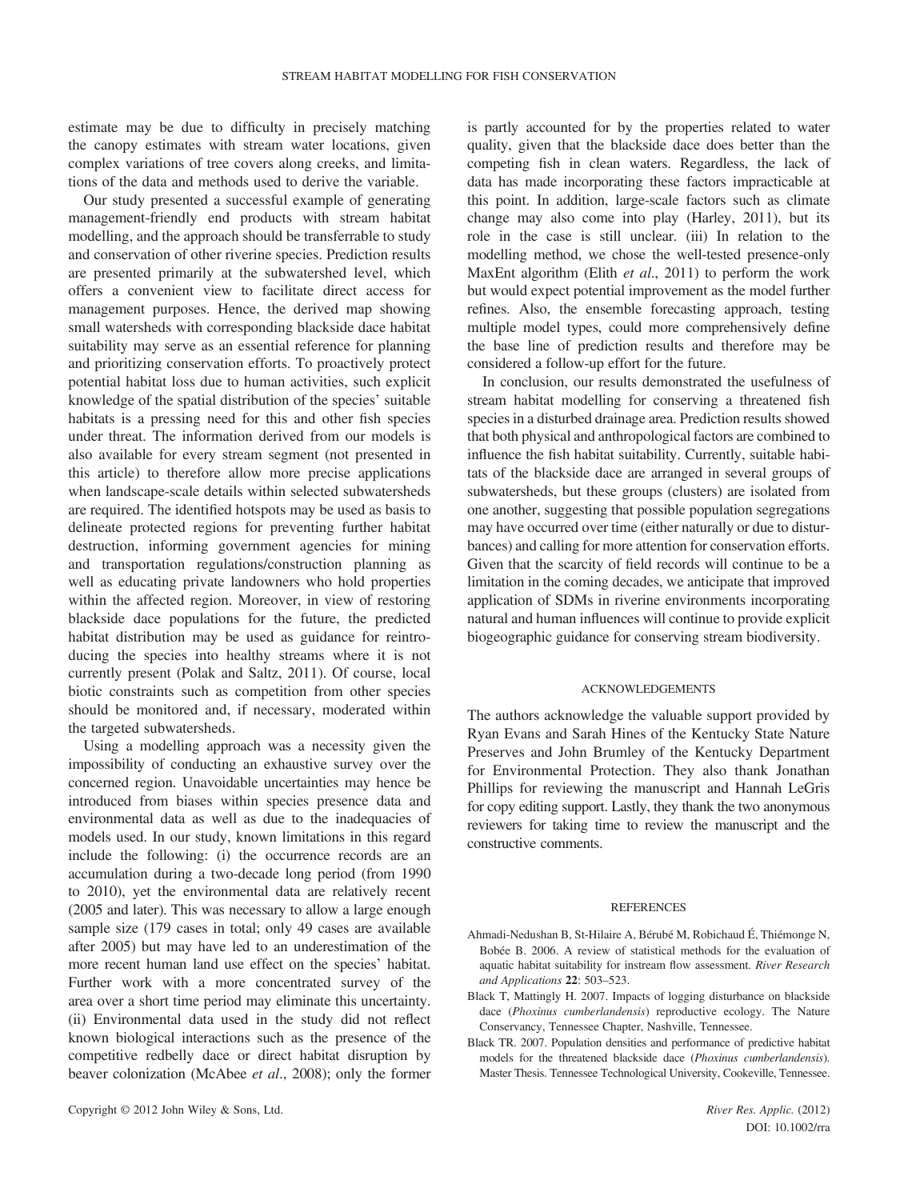estimate may be due to difficulty in precisely matching the canopy estimates with stream water locations, given complex variations of tree covers along creeks, and limitations of the data and methods used to derive the variable.

Our study presented a successful example of generating management-friendly end products with stream habitat modelling, and the approach should be transferrable to study and conservation of other riverine species. Prediction results are presented primarily at the subwatershed level, which offers a convenient view to facilitate direct access for management purposes. Hence, the derived map showing small watersheds with corresponding blackside dace habitat suitability may serve as an essential reference for planning and prioritizing conservation efforts. To proactively protect potential habitat loss due to human activities, such explicit knowledge of the spatial distribution of the species' suitable habitats is a pressing need for this and other fish species under threat. The information derived from our models is also available for every stream segment (not presented in this article) to therefore allow more precise applications when landscape-scale details within selected subwatersheds are required. The identified hotspots may be used as basis to delineate protected regions for preventing further habitat destruction, informing government agencies for mining and transportation regulations/construction planning as well as educating private landowners who hold properties within the affected region. Moreover, in view of restoring blackside dace populations for the future, the predicted habitat distribution may be used as guidance for reintroducing the species into healthy streams where it is not currently present (Polak and Saltz, 2011). Of course, local biotic constraints such as competition from other species should be monitored and, if necessary, moderated within the targeted subwatersheds.

Using a modelling approach was a necessity given the impossibility of conducting an exhaustive survey over the concerned region. Unavoidable uncertainties may hence be introduced from biases within species presence data and environmental data as well as due to the inadequacies of models used. In our study, known limitations in this regard include the following: (i) the occurrence records are an accumulation during a two-decade long period (from 1990 to 2010), yet the environmental data are relatively recent (2005 and later). This was necessary to allow a large enough sample size (179 cases in total; only 49 cases are available after 2005) but may have led to an underestimation of the more recent human land use effect on the species' habitat. Further work with a more concentrated survey of the area over a short time period may eliminate this uncertainty. (ii) Environmental data used in the study did not reflect known biological interactions such as the presence of the competitive redbelly dace or direct habitat disruption by beaver colonization (McAbee et al., 2008); only the former is partly accounted for by the properties related to water quality, given that the blackside dace does better than the competing fish in clean waters. Regardless, the lack of data has made incorporating these factors impracticable at this point. In addition, large-scale factors such as climate change may also come into play (Harley, 2011), but its role in the case is still unclear. (iii) In relation to the modelling method, we chose the well-tested presence-only MaxEnt algorithm (Elith et al., 2011) to perform the work but would expect potential improvement as the model further refines. Also, the ensemble forecasting approach, testing multiple model types, could more comprehensively define the base line of prediction results and therefore may be considered a follow-up effort for the future.

In conclusion, our results demonstrated the usefulness of stream habitat modelling for conserving a threatened fish species in a disturbed drainage area. Prediction results showed that both physical and anthropological factors are combined to influence the fish habitat suitability. Currently, suitable habitats of the blackside dace are arranged in several groups of subwatersheds, but these groups (clusters) are isolated from one another, suggesting that possible population segregations may have occurred over time (either naturally or due to disturbances) and calling for more attention for conservation efforts. Given that the scarcity of field records will continue to be a limitation in the coming decades, we anticipate that improved application of SDMs in riverine environments incorporating natural and human influences will continue to provide explicit biogeographic guidance for conserving stream biodiversity.

#### ACKNOWLEDGEMENTS

The authors acknowledge the valuable support provided by Ryan Evans and Sarah Hines of the Kentucky State Nature Preserves and John Brumley of the Kentucky Department for Environmental Protection. They also thank Jonathan Phillips for reviewing the manuscript and Hannah LeGris for copy editing support. Lastly, they thank the two anonymous reviewers for taking time to review the manuscript and the constructive comments.

#### **REFERENCES**

- Ahmadi-Nedushan B, St-Hilaire A, Bérubé M, Robichaud É, Thiémonge N, Bobée B. 2006. A review of statistical methods for the evaluation of aquatic habitat suitability for instream flow assessment. River Research and Applications 22: 503–523.
- Black T, Mattingly H. 2007. Impacts of logging disturbance on blackside dace (Phoxinus cumberlandensis) reproductive ecology. The Nature Conservancy, Tennessee Chapter, Nashville, Tennessee.
- Black TR. 2007. Population densities and performance of predictive habitat models for the threatened blackside dace (Phoxinus cumberlandensis). Master Thesis. Tennessee Technological University, Cookeville, Tennessee.